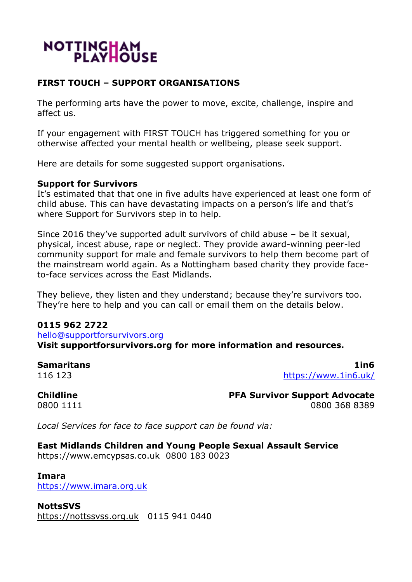# NOTTINGHAM

# **FIRST TOUCH – SUPPORT ORGANISATIONS**

The performing arts have the power to move, excite, challenge, inspire and affect us.

If your engagement with FIRST TOUCH has triggered something for you or otherwise affected your mental health or wellbeing, please seek support.

Here are details for some suggested support organisations.

#### **Support for Survivors**

It's estimated that that one in five adults have experienced at least one form of child abuse. This can have devastating impacts on a person's life and that's where Support for Survivors step in to help.

Since 2016 they've supported adult survivors of child abuse – be it sexual, physical, incest abuse, rape or neglect. They provide award-winning peer-led community support for male and female survivors to help them become part of the mainstream world again. As a Nottingham based charity they provide faceto-face services across the East Midlands.

They believe, they listen and they understand; because they're survivors too. They're here to help and you can call or email them on the details below.

#### **0115 962 2722**

[hello@supportforsurvivors.org](mailto:hello@supportforsurvivors.org) **Visit supportforsurvivors.org for more information and resources.**

**Samaritans 1in6** 116 123 <https://www.1in6.uk/>

**Childline PFA Survivor Support Advocate** 0800 1111 0800 368 8389

*Local Services for face to face support can be found via:*

#### **East Midlands Children and Young People Sexual Assault Service**

[https://www.emcypsas.co.uk](https://www.emcypsas.co.uk/) 0800 183 0023

**Imara** [https://www.imara.org.uk](https://www.imara.org.uk/)

**NottsSVS** [https://nottssvss.org.uk](https://nottssvss.org.uk/) 0115 941 0440